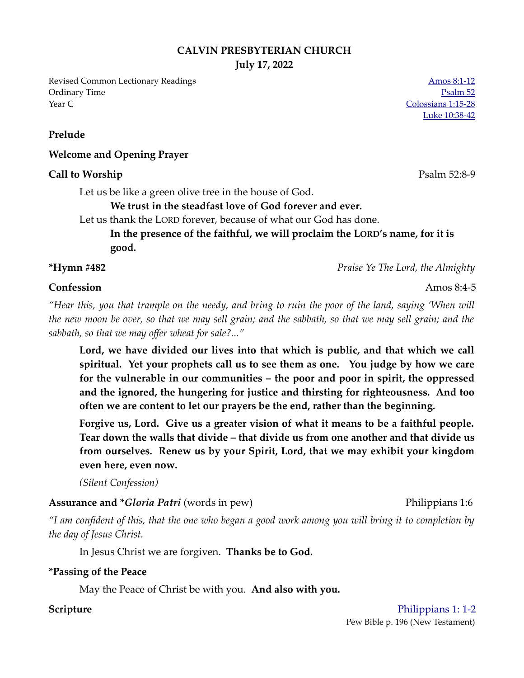### **CALVIN PRESBYTERIAN CHURCH**

**July 17, 2022**

Revised Common Lectionary Readings [Amos 8:1-12](https://www.biblegateway.com/passage/?search=Amos+8%3A1-12&version=NRSVUE) Ordinary Time [Psalm 52](https://www.biblegateway.com/passage/?search=Psalm+52&version=NRSVUE) Year C [Colossians 1:15-28](https://www.biblegateway.com/passage/?search=Colossians+1%3A15-28&version=NRSVUE)

**Prelude**

### **Welcome and Opening Prayer**

### **Call to Worship** Psalm 52:8-9

Let us be like a green olive tree in the house of God.

### **We trust in the steadfast love of God forever and ever.**

Let us thank the LORD forever, because of what our God has done.

**In the presence of the faithful, we will proclaim the LORD's name, for it is good.**

**\*Hymn #482** *Praise Ye The Lord, the Almighty*

## **Confession** Amos 8:4-5

*"Hear this, you that trample on the needy, and bring to ruin the poor of the land, saying 'When will the new moon be over, so that we may sell grain; and the sabbath, so that we may sell grain; and the sabbath, so that we may offer wheat for sale?..."* 

**Lord, we have divided our lives into that which is public, and that which we call spiritual. Yet your prophets call us to see them as one. You judge by how we care for the vulnerable in our communities – the poor and poor in spirit, the oppressed and the ignored, the hungering for justice and thirsting for righteousness. And too often we are content to let our prayers be the end, rather than the beginning.**

**Forgive us, Lord. Give us a greater vision of what it means to be a faithful people. Tear down the walls that divide – that divide us from one another and that divide us from ourselves. Renew us by your Spirit, Lord, that we may exhibit your kingdom even here, even now.** 

*(Silent Confession)*

**Assurance and \****Gloria Patri* (words in pew) Philippians 1:6

*"I am confident of this, that the one who began a good work among you will bring it to completion by the day of Jesus Christ.* 

In Jesus Christ we are forgiven. **Thanks be to God.**

### **\*Passing of the Peace**

May the Peace of Christ be with you. **And also with you.**

### **Scripture** [Philippians 1: 1-2](https://www.biblegateway.com/passage/?search=Philippians+1%3A+1-2&version=NRSVUE)

Pew Bible p. 196 (New Testament)

[Luke 10:38-42](https://www.biblegateway.com/passage/?search=Luke+10%3A38-42&version=NRSVUE)